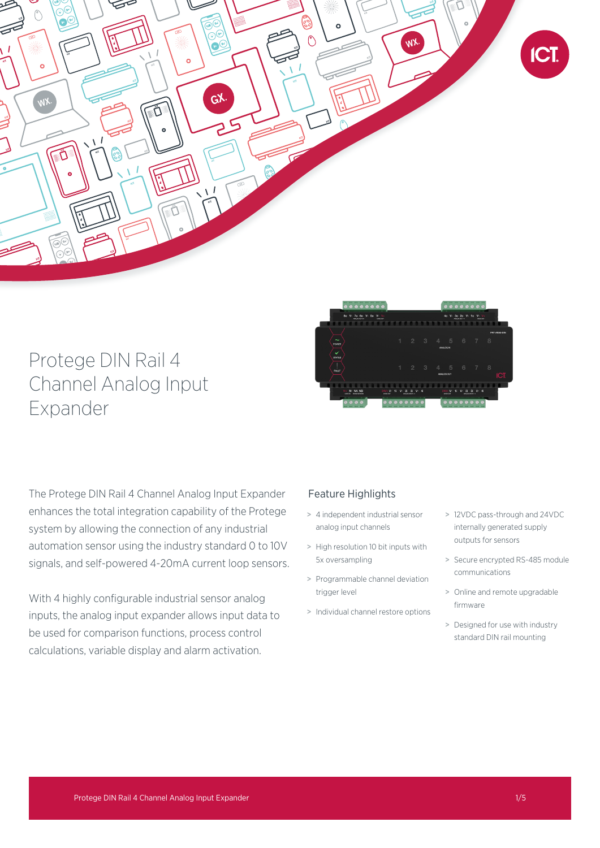

# Protege DIN Rail 4 Channel Analog Input Expander



The Protege DIN Rail 4 Channel Analog Input Expander enhances the total integration capability of the Protege system by allowing the connection of any industrial automation sensor using the industry standard 0 to 10V signals, and self-powered 4-20mA current loop sensors.

With 4 highly configurable industrial sensor analog inputs, the analog input expander allows input data to be used for comparison functions, process control calculations, variable display and alarm activation.

# Feature Highlights

- > 4 independent industrial sensor analog input channels
- > High resolution 10 bit inputs with 5x oversampling
- > Programmable channel deviation trigger level
- > Individual channel restore options
- > 12VDC pass-through and 24VDC internally generated supply outputs for sensors
- > Secure encrypted RS-485 module communications
- > Online and remote upgradable firmware
- > Designed for use with industry standard DIN rail mounting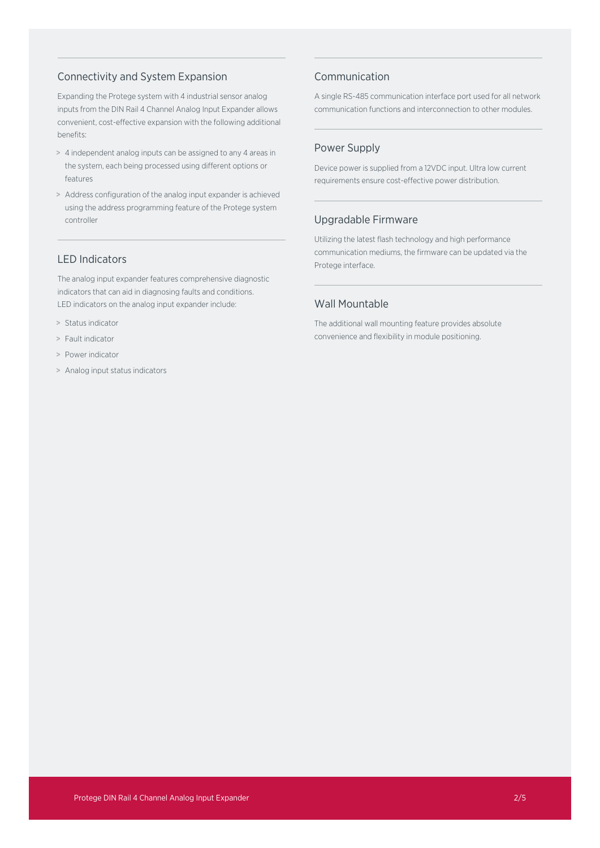## Connectivity and System Expansion

Expanding the Protege system with 4 industrial sensor analog inputs from the DIN Rail 4 Channel Analog Input Expander allows convenient, cost-effective expansion with the following additional benefits:

- > 4 independent analog inputs can be assigned to any 4 areas in the system, each being processed using different options or features
- > Address configuration of the analog input expander is achieved using the address programming feature of the Protege system controller

## LED Indicators

The analog input expander features comprehensive diagnostic indicators that can aid in diagnosing faults and conditions. LED indicators on the analog input expander include:

- > Status indicator
- > Fault indicator
- > Power indicator
- > Analog input status indicators

## Communication

A single RS-485 communication interface port used for all network communication functions and interconnection to other modules.

## Power Supply

Device power is supplied from a 12VDC input. Ultra low current requirements ensure cost-effective power distribution.

## Upgradable Firmware

Utilizing the latest flash technology and high performance communication mediums, the firmware can be updated via the Protege interface.

## Wall Mountable

The additional wall mounting feature provides absolute convenience and flexibility in module positioning.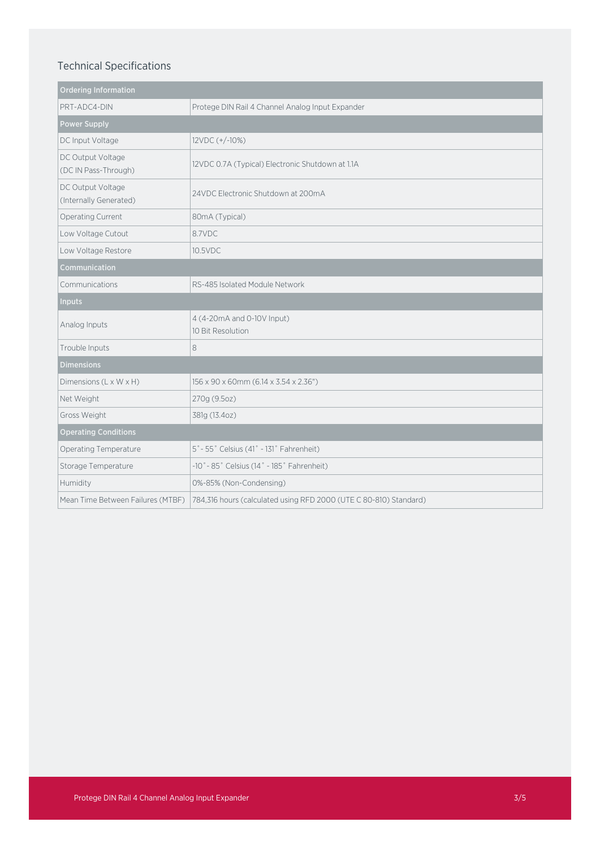# Technical Specifications

| <b>Ordering Information</b>                 |                                                                   |
|---------------------------------------------|-------------------------------------------------------------------|
| PRT-ADC4-DIN                                | Protege DIN Rail 4 Channel Analog Input Expander                  |
| <b>Power Supply</b>                         |                                                                   |
| DC Input Voltage                            | 12VDC (+/-10%)                                                    |
| DC Output Voltage<br>(DC IN Pass-Through)   | 12VDC 0.7A (Typical) Electronic Shutdown at 1.1A                  |
| DC Output Voltage<br>(Internally Generated) | 24VDC Electronic Shutdown at 200mA                                |
| Operating Current                           | 80mA (Typical)                                                    |
| Low Voltage Cutout                          | 8.7VDC                                                            |
| Low Voltage Restore                         | 10.5VDC                                                           |
| Communication                               |                                                                   |
| Communications                              | RS-485 Isolated Module Network                                    |
| <b>Inputs</b>                               |                                                                   |
| Analog Inputs                               | 4 (4-20mA and 0-10V Input)<br>10 Bit Resolution                   |
| Trouble Inputs                              | 8                                                                 |
| <b>Dimensions</b>                           |                                                                   |
| Dimensions (L x W x H)                      | 156 x 90 x 60mm (6.14 x 3.54 x 2.36")                             |
| Net Weight                                  | 270g (9.5oz)                                                      |
| Gross Weight                                | 381g (13.4oz)                                                     |
| <b>Operating Conditions</b>                 |                                                                   |
| Operating Temperature                       | 5° - 55° Celsius (41° - 131° Fahrenheit)                          |
| Storage Temperature                         | $-10° - 85°$ Celsius (14° - 185° Fahrenheit)                      |
| Humidity                                    | 0%-85% (Non-Condensing)                                           |
| Mean Time Between Failures (MTBF)           | 784,316 hours (calculated using RFD 2000 (UTE C 80-810) Standard) |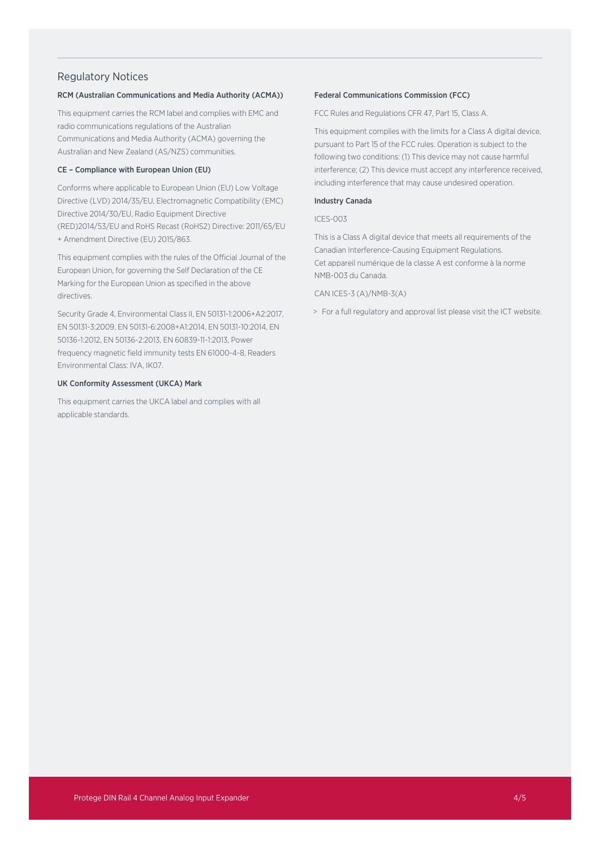## Regulatory Notices

### RCM (Australian Communications and Media Authority (ACMA))

This equipment carries the RCM label and complies with EMC and radio communications regulations of the Australian Communications and Media Authority (ACMA) governing the Australian and New Zealand (AS/NZS) communities.

## CE – Compliance with European Union (EU)

Conforms where applicable to European Union (EU) Low Voltage Directive (LVD) 2014/35/EU, Electromagnetic Compatibility (EMC) Directive 2014/30/EU, Radio Equipment Directive (RED)2014/53/EU and RoHS Recast (RoHS2) Directive: 2011/65/EU + Amendment Directive (EU) 2015/863.

This equipment complies with the rules of the Official Journal of the European Union, for governing the Self Declaration of the CE Marking for the European Union as specified in the above directives.

Security Grade 4, Environmental Class II, EN 50131-1:2006+A2:2017, EN 50131-3:2009, EN 50131-6:2008+A1:2014, EN 50131-10:2014, EN 50136-1:2012, EN 50136-2:2013, EN 60839-11-1:2013, Power frequency magnetic field immunity tests EN 61000-4-8, Readers Environmental Class: IVA, IK07.

### UK Conformity Assessment (UKCA) Mark

This equipment carries the UKCA label and complies with all applicable standards.

#### Federal Communications Commission (FCC)

FCC Rules and Regulations CFR 47, Part 15, Class A.

This equipment complies with the limits for a Class A digital device, pursuant to Part 15 of the FCC rules. Operation is subject to the following two conditions: (1) This device may not cause harmful interference; (2) This device must accept any interference received, including interference that may cause undesired operation.

#### Industry Canada

#### ICES-003

This is a Class A digital device that meets all requirements of the Canadian Interference-Causing Equipment Regulations. Cet appareil numérique de la classe A est conforme à la norme NMB-003 du Canada.

### CAN ICES-3 (A)/NMB-3(A)

> For a full regulatory and approval list please visit the ICT website.